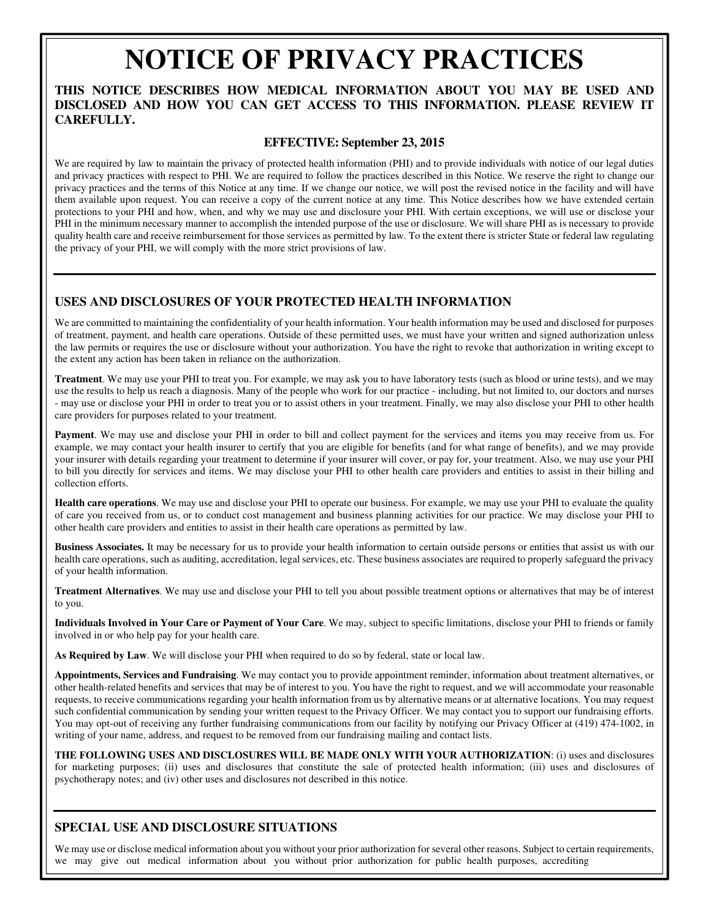# **NOTICE OF PRIVACY PRACTICES**

### **DISCLOSED AND HOW YOU CAN GET ACCESS TO THIS INFORMATION. PLEASE REVIEW IT THIS NOTICE DESCRIBES HOW MEDICAL INFORMATION ABOUT YOU MAY BE USED AND CAREFULLY.**

#### **EFFECTIVE: September 23, 2015**

We are required by law to maintain the privacy of protected health information (PHI) and to provide individuals with notice of our legal duties and privacy practices with respect to PHI. We are required to follow the practices described in this Notice. We reserve the right to change our privacy practices and the terms of this Notice at any time. If we change our notice, we will post the revised notice in the facility and will have them available upon request. You can receive a copy of the current notice at any time. This Notice describes how we have extended certain protections to your PHI and how, when, and why we may use and disclosure your PHI. With certain exceptions, we will use or disclose your PHI in the minimum necessary manner to accomplish the intended purpose of the use or disclosure. We will share PHI as is necessary to provide quality health care and receive reimbursement for those services as permitted by law. To the extent there is stricter State or federal law regulating the privacy of your PHI, we will comply with the more strict provisions of law.

# **USES AND DISCLOSURES OF YOUR PROTECTED HEALTH INFORMATION**

We are committed to maintaining the confidentiality of your health information. Your health information may be used and disclosed for purposes of treatment, payment, and health care operations. Outside of these permitted uses, we must have your written and signed authorization unless the law permits or requires the use or disclosure without your authorization. You have the right to revoke that authorization in writing except to the extent any action has been taken in reliance on the authorization.

**Treatment**. We may use your PHI to treat you. For example, we may ask you to have laboratory tests (such as blood or urine tests), and we may use the results to help us reach a diagnosis. Many of the people who work for our practice - including, but not limited to, our doctors and nurses - may use or disclose your PHI in order to treat you or to assist others in your treatment. Finally, we may also disclose your PHI to other health care providers for purposes related to your treatment.

**Payment**. We may use and disclose your PHI in order to bill and collect payment for the services and items you may receive from us. For example, we may contact your health insurer to certify that you are eligible for benefits (and for what range of benefits), and we may provide your insurer with details regarding your treatment to determine if your insurer will cover, or pay for, your treatment. Also, we may use your PHI to bill you directly for services and items. We may disclose your PHI to other health care providers and entities to assist in their billing and collection efforts.

**Health care operations**. We may use and disclose your PHI to operate our business. For example, we may use your PHI to evaluate the quality of care you received from us, or to conduct cost management and business planning activities for our practice. We may disclose your PHI to other health care providers and entities to assist in their health care operations as permitted by law.

**Business Associates.** It may be necessary for us to provide your health information to certain outside persons or entities that assist us with our health care operations, such as auditing, accreditation, legal services, etc. These business associates are required to properly safeguard the privacy of your health information.

**Treatment Alternatives**. We may use and disclose your PHI to tell you about possible treatment options or alternatives that may be of interest to you.

**Individuals Involved in Your Care or Payment of Your Care**. We may, subject to specific limitations, disclose your PHI to friends or family involved in or who help pay for your health care.

**As Required by Law**. We will disclose your PHI when required to do so by federal, state or local law.

**Appointments, Services and Fundraising**. We may contact you to provide appointment reminder, information about treatment alternatives, or other health-related benefits and services that may be of interest to you. You have the right to request, and we will accommodate your reasonable requests, to receive communications regarding your health information from us by alternative means or at alternative locations. You may request such confidential communication by sending your written request to the Privacy Officer. We may contact you to support our fundraising efforts. You may opt-out of receiving any further fundraising communications from our facility by notifying our Privacy Officer at (419) 474-1002, in writing of your name, address, and request to be removed from our fundraising mailing and contact lists.

**THE FOLLOWING USES AND DISCLOSURES WILL BE MADE ONLY WITH YOUR AUTHORIZATION**: (i) uses and disclosures for marketing purposes; (ii) uses and disclosures that constitute the sale of protected health information; (iii) uses and disclosures of psychotherapy notes; and (iv) other uses and disclosures not described in this notice.

# **SPECIAL USE AND DISCLOSURE SITUATIONS**

We may use or disclose medical information about you without your prior authorization for several other reasons. Subject to certain requirements, we may give out medical information about you without prior authorization for public health purposes, accrediting